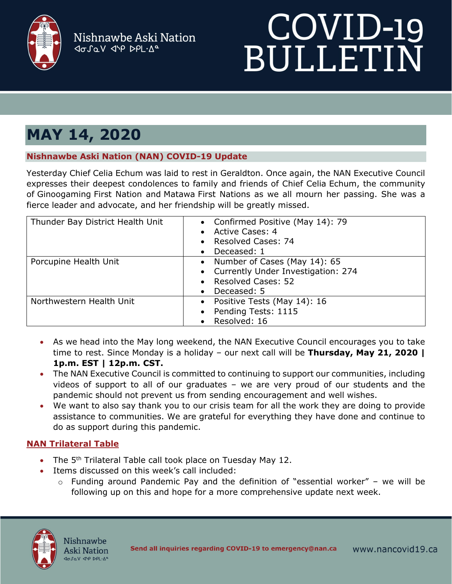

Nishnawbe Aski Nation dosav dip DPL.Aº

# COVID-19<br>BULLETIN

# **MAY 14, 2020**

## **Nishnawbe Aski Nation (NAN) COVID-19 Update**

Yesterday Chief Celia Echum was laid to rest in Geraldton. Once again, the NAN Executive Council expresses their deepest condolences to family and friends of Chief Celia Echum, the community of Ginoogaming First Nation and Matawa First Nations as we all mourn her passing. She was a fierce leader and advocate, and her friendship will be greatly missed.

| Thunder Bay District Health Unit | • Confirmed Positive (May 14): 79<br>• Active Cases: 4<br>Resolved Cases: 74<br>Deceased: 1                   |
|----------------------------------|---------------------------------------------------------------------------------------------------------------|
| Porcupine Health Unit            | • Number of Cases (May 14): 65<br>• Currently Under Investigation: 274<br>• Resolved Cases: 52<br>Deceased: 5 |
| Northwestern Health Unit         | • Positive Tests (May 14): 16<br>• Pending Tests: 1115<br>Resolved: 16                                        |

- As we head into the May long weekend, the NAN Executive Council encourages you to take time to rest. Since Monday is a holiday – our next call will be **Thursday, May 21, 2020 | 1p.m. EST | 12p.m. CST.**
- The NAN Executive Council is committed to continuing to support our communities, including videos of support to all of our graduates – we are very proud of our students and the pandemic should not prevent us from sending encouragement and well wishes.
- We want to also say thank you to our crisis team for all the work they are doing to provide assistance to communities. We are grateful for everything they have done and continue to do as support during this pandemic.

# **NAN Trilateral Table**

- The  $5<sup>th</sup>$  Trilateral Table call took place on Tuesday May 12.
- Items discussed on this week's call included:
	- $\circ$  Funding around Pandemic Pay and the definition of "essential worker" we will be following up on this and hope for a more comprehensive update next week.

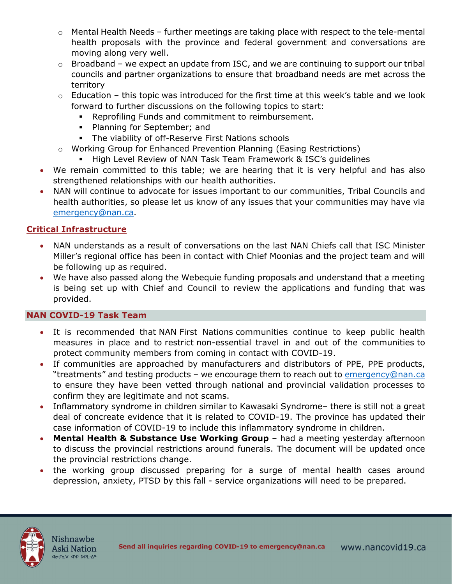- o Mental Health Needs further meetings are taking place with respect to the tele-mental health proposals with the province and federal government and conversations are moving along very well.
- $\circ$  Broadband we expect an update from ISC, and we are continuing to support our tribal councils and partner organizations to ensure that broadband needs are met across the territory
- $\circ$  Education this topic was introduced for the first time at this week's table and we look forward to further discussions on the following topics to start:
	- Reprofiling Funds and commitment to reimbursement.
	- **Planning for September; and**
	- The viability of off-Reserve First Nations schools
- o Working Group for Enhanced Prevention Planning (Easing Restrictions)
	- **High Level Review of NAN Task Team Framework & ISC's guidelines**
- We remain committed to this table; we are hearing that it is very helpful and has also strengthened relationships with our health authorities.
- NAN will continue to advocate for issues important to our communities, Tribal Councils and health authorities, so please let us know of any issues that your communities may have via [emergency@nan.ca.](mailto:emergency@nan.ca)

### **Critical Infrastructure**

- NAN understands as a result of conversations on the last NAN Chiefs call that ISC Minister Miller's regional office has been in contact with Chief Moonias and the project team and will be following up as required.
- We have also passed along the Webequie funding proposals and understand that a meeting is being set up with Chief and Council to review the applications and funding that was provided.

### **NAN COVID-19 Task Team**

- It is recommended that NAN First Nations communities continue to keep public health measures in place and to restrict non-essential travel in and out of the communities to protect community members from coming in contact with COVID-19.
- If communities are approached by manufacturers and distributors of PPE, PPE products, "treatments" and testing products - we encourage them to reach out to [emergency@nan.ca](mailto:emergency@nan.ca) to ensure they have been vetted through national and provincial validation processes to confirm they are legitimate and not scams.
- Inflammatory syndrome in children similar to Kawasaki Syndrome– there is still not a great deal of concreate evidence that it is related to COVID-19. The province has updated their case information of COVID-19 to include this inflammatory syndrome in children.
- **Mental Health & Substance Use Working Group** had a meeting yesterday afternoon to discuss the provincial restrictions around funerals. The document will be updated once the provincial restrictions change.
- the working group discussed preparing for a surge of mental health cases around depression, anxiety, PTSD by this fall - service organizations will need to be prepared.

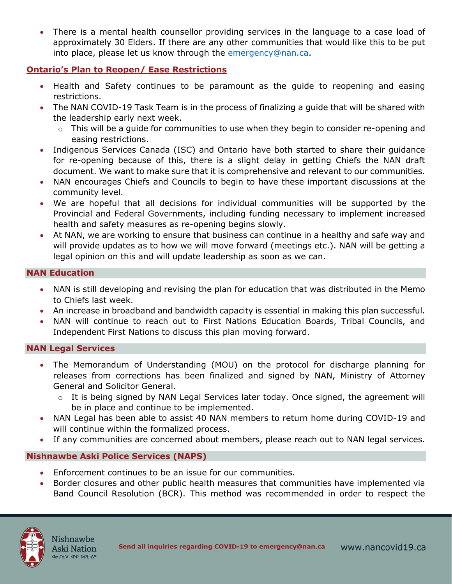• There is a mental health counsellor providing services in the language to a case load of approximately 30 Elders. If there are any other communities that would like this to be put into place, please let us know through the [emergency@nan.ca.](mailto:emergency@nan.ca)

### **Ontario's Plan to Reopen/ Ease Restrictions**

- Health and Safety continues to be paramount as the guide to reopening and easing restrictions.
- The NAN COVID-19 Task Team is in the process of finalizing a guide that will be shared with the leadership early next week.
	- o This will be a guide for communities to use when they begin to consider re-opening and easing restrictions.
- Indigenous Services Canada (ISC) and Ontario have both started to share their guidance for re-opening because of this, there is a slight delay in getting Chiefs the NAN draft document. We want to make sure that it is comprehensive and relevant to our communities.
- NAN encourages Chiefs and Councils to begin to have these important discussions at the community level.
- We are hopeful that all decisions for individual communities will be supported by the Provincial and Federal Governments, including funding necessary to implement increased health and safety measures as re-opening begins slowly.
- At NAN, we are working to ensure that business can continue in a healthy and safe way and will provide updates as to how we will move forward (meetings etc.). NAN will be getting a legal opinion on this and will update leadership as soon as we can.

### **NAN Education**

- NAN is still developing and revising the plan for education that was distributed in the Memo to Chiefs last week.
- An increase in broadband and bandwidth capacity is essential in making this plan successful.
- NAN will continue to reach out to First Nations Education Boards, Tribal Councils, and Independent First Nations to discuss this plan moving forward.

### **NAN Legal Services**

- The Memorandum of Understanding (MOU) on the protocol for discharge planning for releases from corrections has been finalized and signed by NAN, Ministry of Attorney General and Solicitor General.
	- o It is being signed by NAN Legal Services later today. Once signed, the agreement will be in place and continue to be implemented.
- NAN Legal has been able to assist 40 NAN members to return home during COVID-19 and will continue within the formalized process.
- If any communities are concerned about members, please reach out to NAN legal services.

### **Nishnawbe Aski Police Services (NAPS)**

- Enforcement continues to be an issue for our communities.
- Border closures and other public health measures that communities have implemented via Band Council Resolution (BCR). This method was recommended in order to respect the